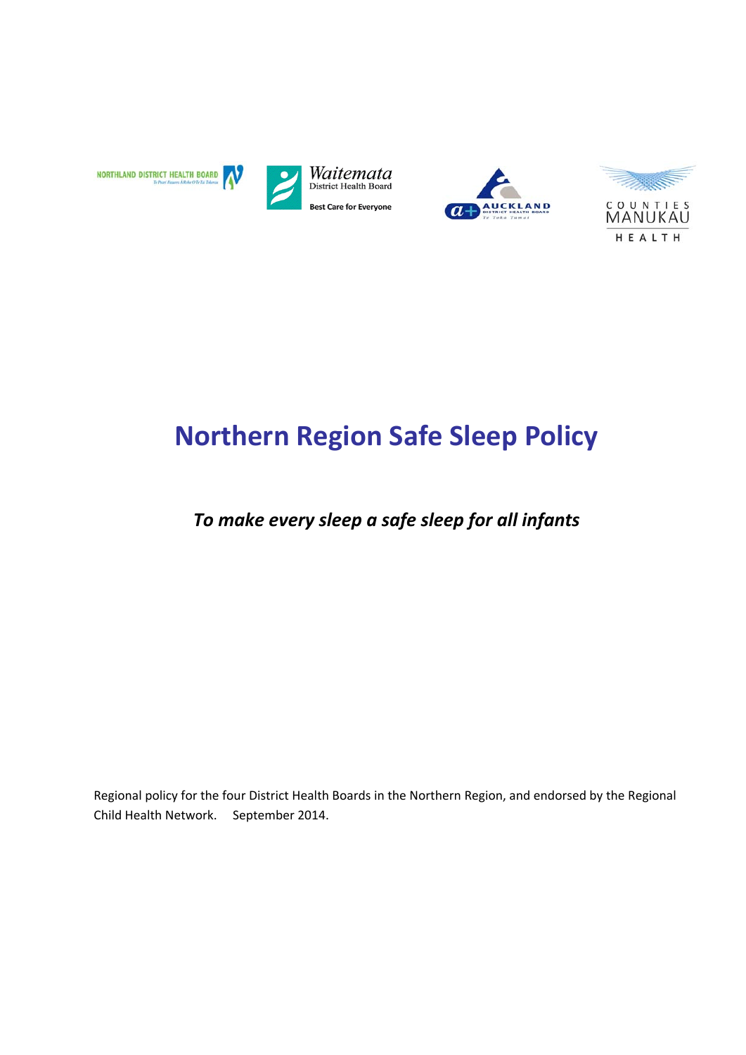





# **Northern Region Safe Sleep Policy**

## *To make every sleep a safe sleep for all infants*

Regional policy for the four District Health Boards in the Northern Region, and endorsed by the Regional Child Health Network. September 2014.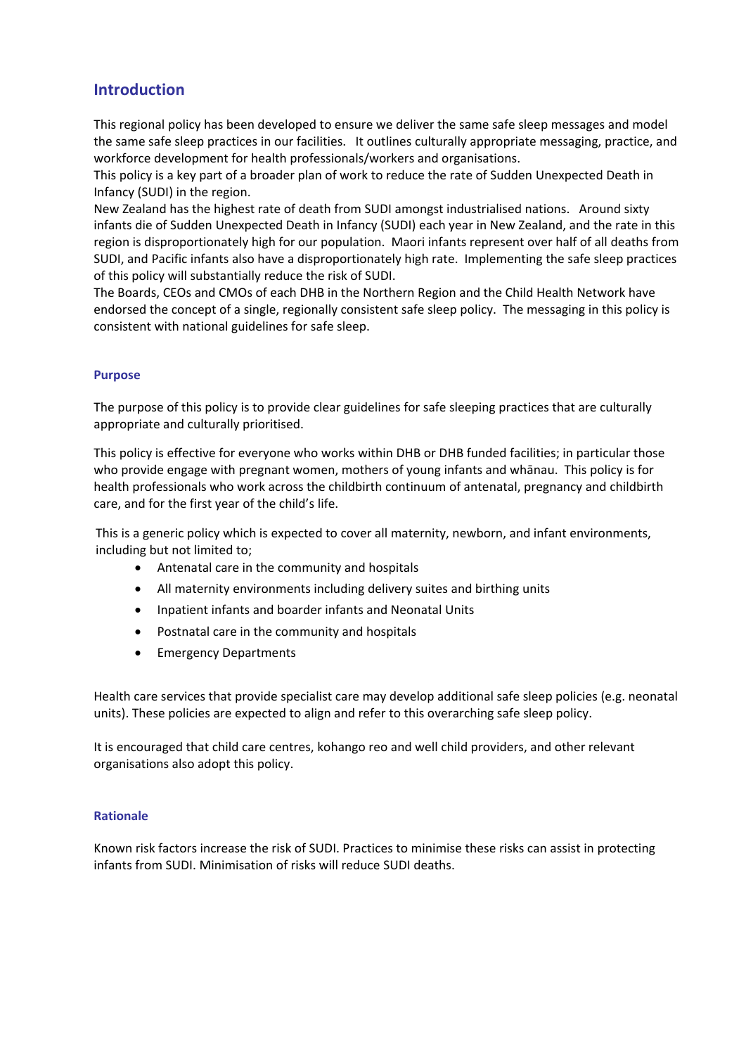## **Introduction**

This regional policy has been developed to ensure we deliver the same safe sleep messages and model the same safe sleep practices in our facilities. It outlines culturally appropriate messaging, practice, and workforce development for health professionals/workers and organisations.

This policy is a key part of a broader plan of work to reduce the rate of Sudden Unexpected Death in Infancy (SUDI) in the region.

New Zealand has the highest rate of death from SUDI amongst industrialised nations. Around sixty infants die of Sudden Unexpected Death in Infancy (SUDI) each year in New Zealand, and the rate in this region is disproportionately high for our population. Maori infants represent over half of all deaths from SUDI, and Pacific infants also have a disproportionately high rate. Implementing the safe sleep practices of this policy will substantially reduce the risk of SUDI.

The Boards, CEOs and CMOs of each DHB in the Northern Region and the Child Health Network have endorsed the concept of a single, regionally consistent safe sleep policy. The messaging in this policy is consistent with national guidelines for safe sleep.

#### **Purpose**

The purpose of this policy is to provide clear guidelines for safe sleeping practices that are culturally appropriate and culturally prioritised.

This policy is effective for everyone who works within DHB or DHB funded facilities; in particular those who provide engage with pregnant women, mothers of young infants and whānau. This policy is for health professionals who work across the childbirth continuum of antenatal, pregnancy and childbirth care, and for the first year of the child's life.

This is a generic policy which is expected to cover all maternity, newborn, and infant environments, including but not limited to;

- Antenatal care in the community and hospitals
- All maternity environments including delivery suites and birthing units
- Inpatient infants and boarder infants and Neonatal Units
- Postnatal care in the community and hospitals
- Emergency Departments

Health care services that provide specialist care may develop additional safe sleep policies (e.g. neonatal units). These policies are expected to align and refer to this overarching safe sleep policy.

It is encouraged that child care centres, kohango reo and well child providers, and other relevant organisations also adopt this policy.

#### **Rationale**

Known risk factors increase the risk of SUDI. Practices to minimise these risks can assist in protecting infants from SUDI. Minimisation of risks will reduce SUDI deaths.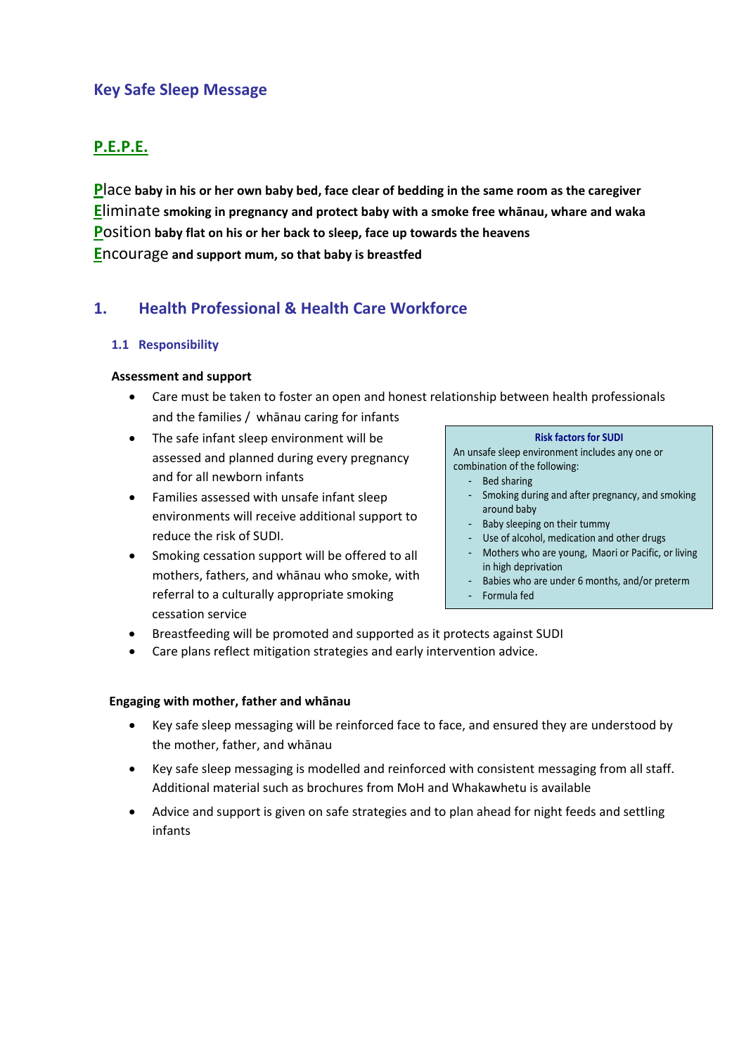## **Key Safe Sleep Message**

## **P.E.P.E.**

 $P$  ace baby in his or her own baby bed, face clear of bedding in the same room as the caregiver **E**liminate **smoking in pregnancy and protect baby with a smoke free whānau, whare and waka P**osition **baby flat on his or her back to sleep, face up towards the heavens E**ncourage **and support mum, so that baby is breastfed**

## **1. Health Professional & Health Care Workforce**

#### **1.1 Responsibility**

#### **Assessment and support**

- Care must be taken to foster an open and honest relationship between health professionals and the families / whānau caring for infants
- The safe infant sleep environment will be assessed and planned during every pregnancy and for all newborn infants
- Families assessed with unsafe infant sleep environments will receive additional support to reduce the risk of SUDI.
- Smoking cessation support will be offered to all mothers, fathers, and whānau who smoke, with referral to a culturally appropriate smoking cessation service

#### **Risk factors for SUDI**

An unsafe sleep environment includes any one or combination of the following:

- Bed sharing
- Smoking during and after pregnancy, and smoking around baby
- Baby sleeping on their tummy
- Use of alcohol, medication and other drugs
- Mothers who are young, Maori or Pacific, or living in high deprivation
- Babies who are under 6 months, and/or preterm
- Formula fed
- Breastfeeding will be promoted and supported as it protects against SUDI
- Care plans reflect mitigation strategies and early intervention advice.

#### **Engaging with mother, father and whānau**

- Key safe sleep messaging will be reinforced face to face, and ensured they are understood by the mother, father, and whānau
- Key safe sleep messaging is modelled and reinforced with consistent messaging from all staff. Additional material such as brochures from MoH and Whakawhetu is available
- Advice and support is given on safe strategies and to plan ahead for night feeds and settling infants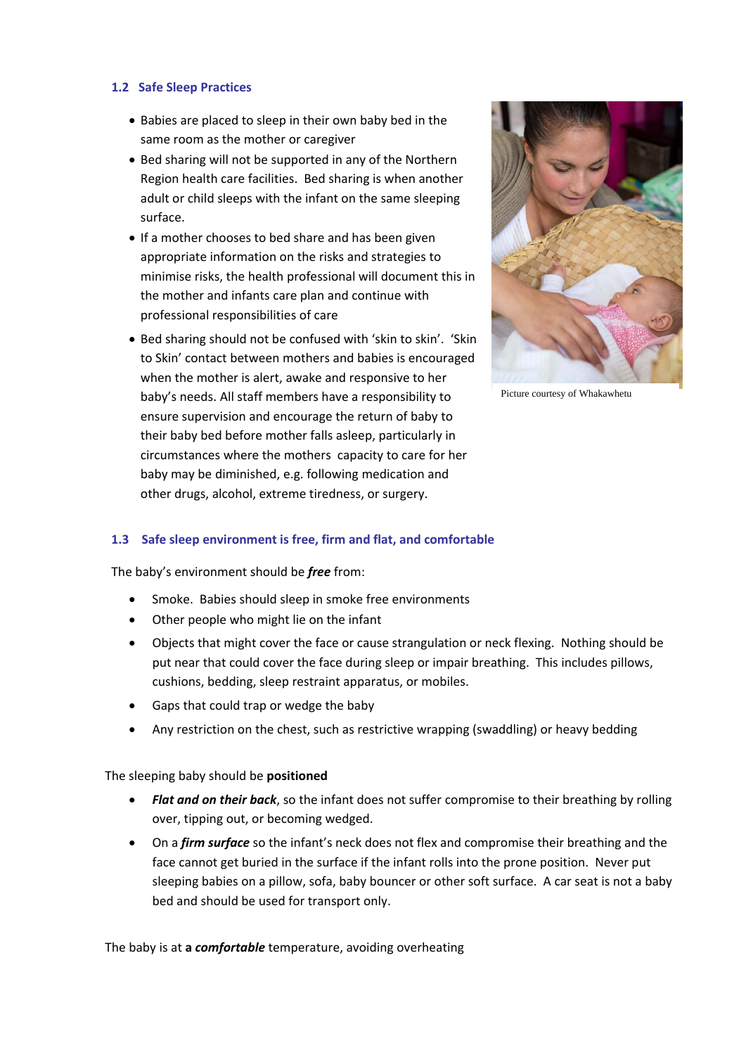#### **1.2 Safe Sleep Practices**

- Babies are placed to sleep in their own baby bed in the same room as the mother or caregiver
- Bed sharing will not be supported in any of the Northern Region health care facilities. Bed sharing is when another adult or child sleeps with the infant on the same sleeping surface.
- If a mother chooses to bed share and has been given appropriate information on the risks and strategies to minimise risks, the health professional will document this in the mother and infants care plan and continue with professional responsibilities of care
- Bed sharing should not be confused with 'skin to skin'. 'Skin to Skin' contact between mothers and babies is encouraged when the mother is alert, awake and responsive to her baby's needs. All staff members have a responsibility to ensure supervision and encourage the return of baby to their baby bed before mother falls asleep, particularly in circumstances where the mothers capacity to care for her baby may be diminished, e.g. following medication and other drugs, alcohol, extreme tiredness, or surgery.



Picture courtesy of Whakawhetu

#### **1.3 Safe sleep environment is free, firm and flat, and comfortable**

The baby's environment should be *free* from:

- Smoke. Babies should sleep in smoke free environments
- Other people who might lie on the infant
- Objects that might cover the face or cause strangulation or neck flexing. Nothing should be put near that could cover the face during sleep or impair breathing. This includes pillows, cushions, bedding, sleep restraint apparatus, or mobiles.
- Gaps that could trap or wedge the baby
- Any restriction on the chest, such as restrictive wrapping (swaddling) or heavy bedding

The sleeping baby should be **positioned**

- *Flat and on their back*, so the infant does not suffer compromise to their breathing by rolling over, tipping out, or becoming wedged.
- On a *firm surface* so the infant's neck does not flex and compromise their breathing and the face cannot get buried in the surface if the infant rolls into the prone position. Never put sleeping babies on a pillow, sofa, baby bouncer or other soft surface. A car seat is not a baby bed and should be used for transport only.

The baby is at **a** *comfortable* temperature, avoiding overheating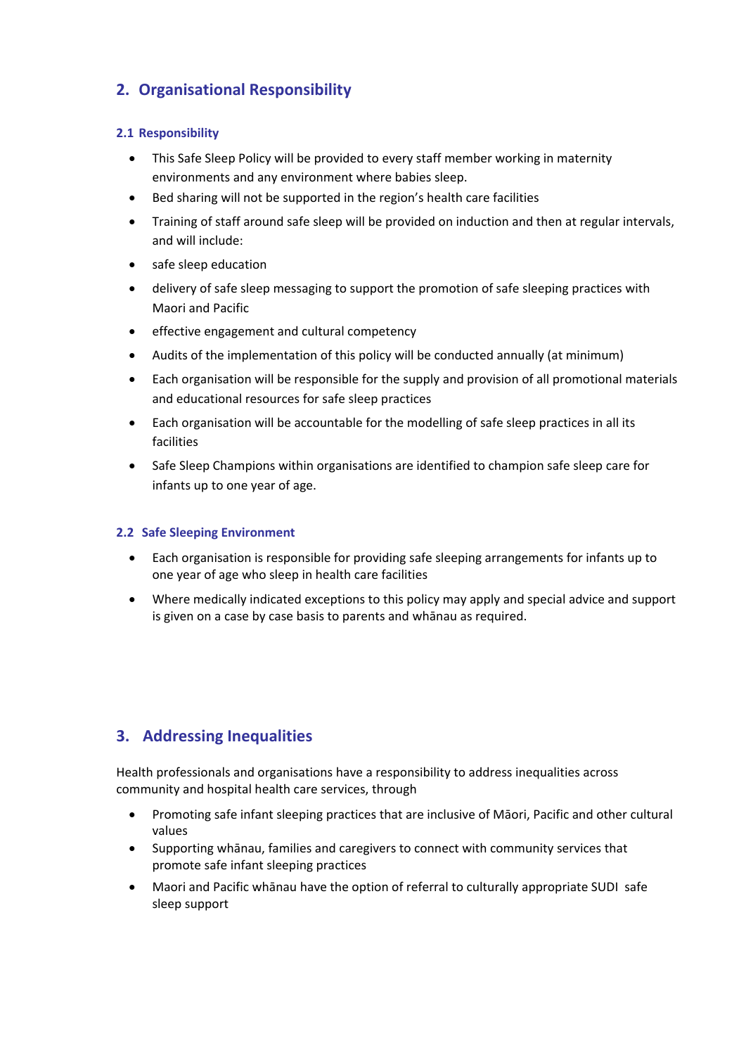## **2. Organisational Responsibility**

#### **2.1 Responsibility**

- This Safe Sleep Policy will be provided to every staff member working in maternity environments and any environment where babies sleep.
- Bed sharing will not be supported in the region's health care facilities
- Training of staff around safe sleep will be provided on induction and then at regular intervals, and will include:
- safe sleep education
- delivery of safe sleep messaging to support the promotion of safe sleeping practices with Maori and Pacific
- **•** effective engagement and cultural competency
- Audits of the implementation of this policy will be conducted annually (at minimum)
- Each organisation will be responsible for the supply and provision of all promotional materials and educational resources for safe sleep practices
- Each organisation will be accountable for the modelling of safe sleep practices in all its facilities
- Safe Sleep Champions within organisations are identified to champion safe sleep care for infants up to one year of age.

#### **2.2 Safe Sleeping Environment**

- Each organisation is responsible for providing safe sleeping arrangements for infants up to one year of age who sleep in health care facilities
- Where medically indicated exceptions to this policy may apply and special advice and support is given on a case by case basis to parents and whānau as required.

## **3. Addressing Inequalities**

Health professionals and organisations have a responsibility to address inequalities across community and hospital health care services, through

- Promoting safe infant sleeping practices that are inclusive of Māori, Pacific and other cultural values
- Supporting whānau, families and caregivers to connect with community services that promote safe infant sleeping practices
- Maori and Pacific whānau have the option of referral to culturally appropriate SUDI safe sleep support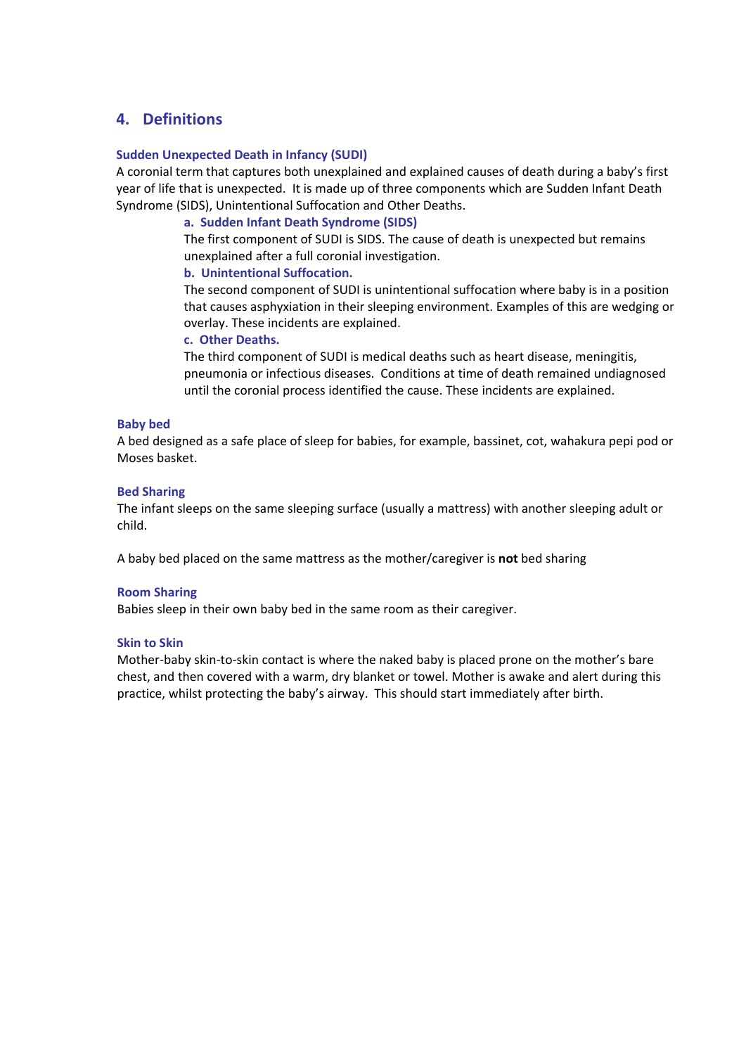### **4. Definitions**

#### **Sudden Unexpected Death in Infancy (SUDI)**

A coronial term that captures both unexplained and explained causes of death during a baby's first year of life that is unexpected. It is made up of three components which are Sudden Infant Death Syndrome (SIDS), Unintentional Suffocation and Other Deaths.

#### **a. Sudden Infant Death Syndrome (SIDS)**

The first component of SUDI is SIDS. The cause of death is unexpected but remains unexplained after a full coronial investigation.

#### **b. Unintentional Suffocation.**

The second component of SUDI is unintentional suffocation where baby is in a position that causes asphyxiation in their sleeping environment. Examples of this are wedging or overlay. These incidents are explained.

#### **c. Other Deaths.**

The third component of SUDI is medical deaths such as heart disease, meningitis, pneumonia or infectious diseases. Conditions at time of death remained undiagnosed until the coronial process identified the cause. These incidents are explained.

#### **Baby bed**

A bed designed as a safe place of sleep for babies, for example, bassinet, cot, wahakura pepi pod or Moses basket.

#### **Bed Sharing**

The infant sleeps on the same sleeping surface (usually a mattress) with another sleeping adult or child.

A baby bed placed on the same mattress as the mother/caregiver is **not** bed sharing

#### **Room Sharing**

Babies sleep in their own baby bed in the same room as their caregiver.

#### **Skin to Skin**

Mother-baby skin-to-skin contact is where the naked baby is placed prone on the mother's bare chest, and then covered with a warm, dry blanket or towel. Mother is awake and alert during this practice, whilst protecting the baby's airway. This should start immediately after birth.